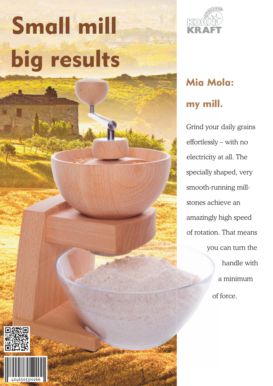# Small mill big results



## my mill. Mia Mola:

Grind your daily grains effortlessly – with no you can turn the electricity at all. The specially shaped, very smooth-running millstones achieve an amazingly high speed of rotation. That means handle with a minimum of force.